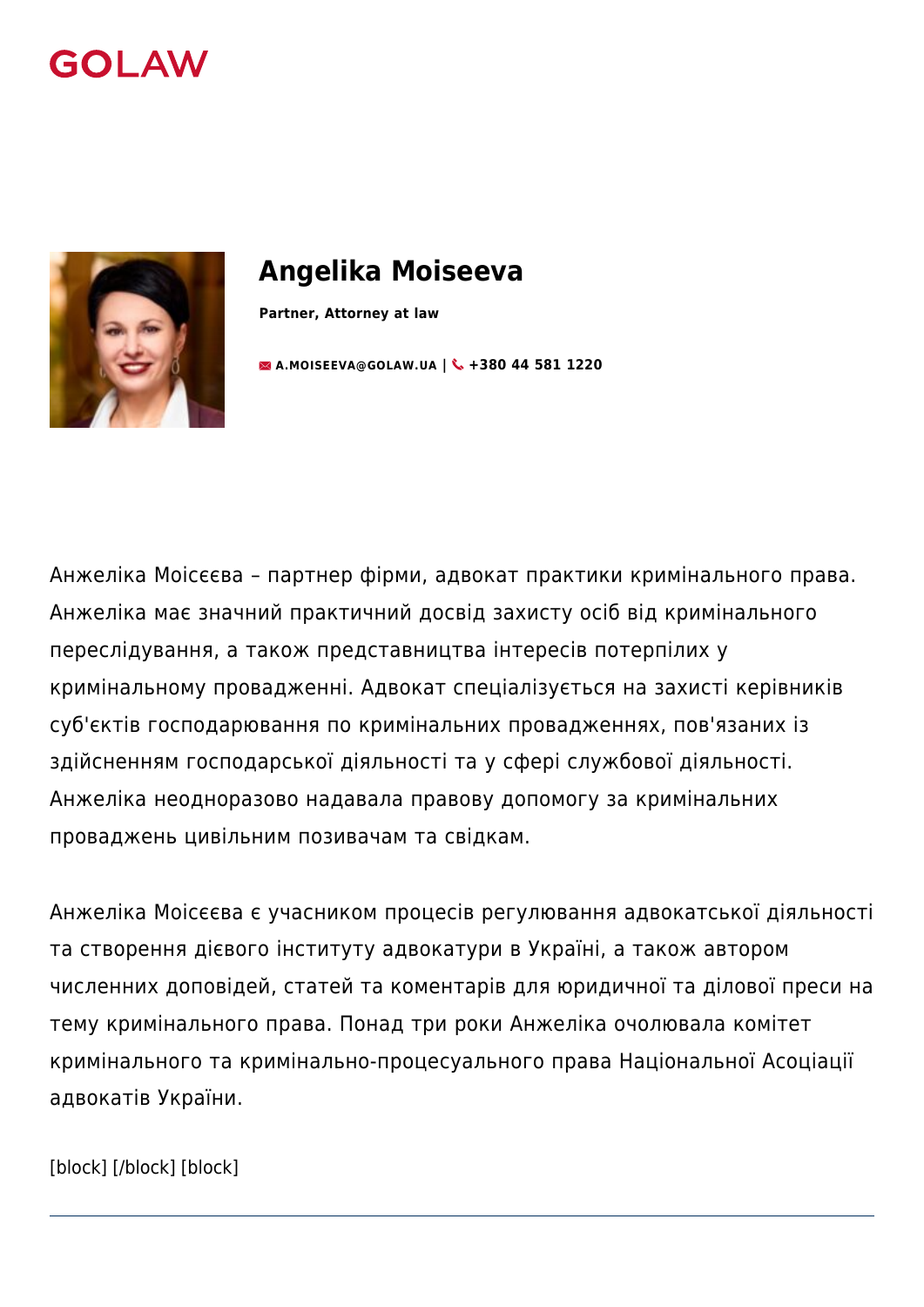



# **Angelika Moiseeva**

**Partner, Attorney at law**

**[A.MOISEEVA@GOLAW.UA](mailto:info@golaw.ua) | +380 44 581 1220**

Анжеліка Моісєєва – партнер фірми, адвокат практики кримінального права. Анжеліка має значний практичний досвід захисту осіб від кримінального переслідування, а також представництва інтересів потерпілих у кримінальному провадженні. Адвокат спеціалізується на захисті керівників суб'єктів господарювання по кримінальних провадженнях, пов'язаних із здійсненням господарської діяльності та у сфері службової діяльності. Анжеліка неодноразово надавала правову допомогу за кримінальних проваджень цивільним позивачам та свідкам.

Анжеліка Моісєєва є учасником процесів регулювання адвокатської діяльності та створення дієвого інституту адвокатури в Україні, а також автором численних доповідей, статей та коментарів для юридичної та ділової преси на тему кримінального права. Понад три роки Анжеліка очолювала комітет кримінального та кримінально-процесуального права Національної Асоціації адвокатів України.

[block] [/block] [block]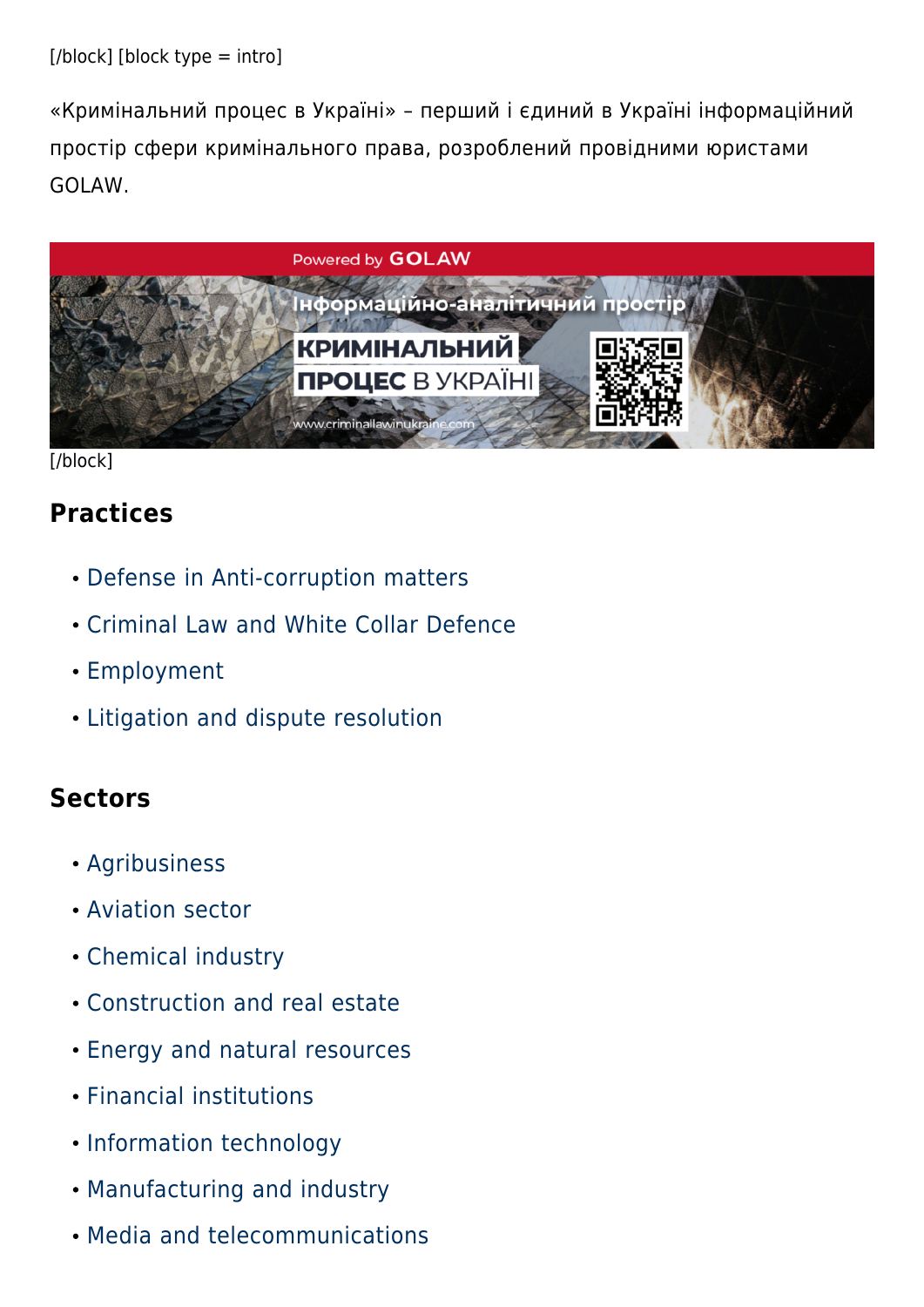«Кримінальний процес в Україні» – перший і єдиний в Україні інформаційний простір сфери кримінального права, розроблений провідними юристами GOLAW.



[/block]

## **Practices**

- [Defense in Anti-corruption matters](#page--1-0)
- [Criminal Law and White Collar Defence](#page--1-0)
- [Employment](#page--1-0)
- [Litigation and dispute resolution](#page--1-0)

## **Sectors**

- [Agribusiness](#page--1-0)
- [Aviation sector](#page--1-0)
- [Chemical industry](#page--1-0)
- [Construction and real estate](#page--1-0)
- [Energy and natural resources](#page--1-0)
- [Financial institutions](#page--1-0)
- [Information technology](#page--1-0)
- [Manufacturing and industry](#page--1-0)
- [Media and telecommunications](#page--1-0)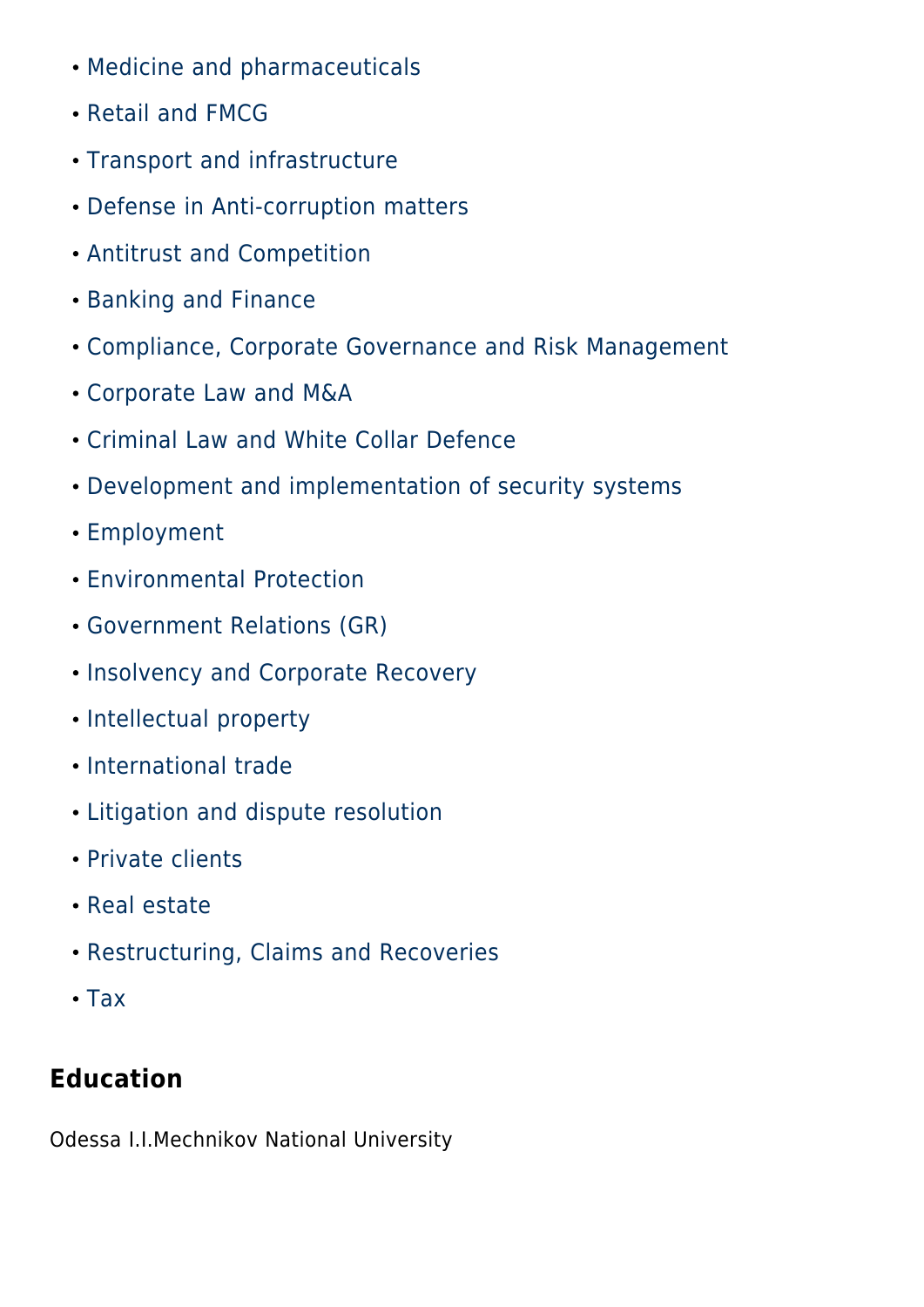- [Medicine and pharmaceuticals](#page--1-0)
- [Retail and FMCG](#page--1-0)
- [Transport and infrastructure](#page--1-0)
- [Defense in Anti-corruption matters](#page--1-0)
- [Antitrust and Competition](#page--1-0)
- [Banking and Finance](#page--1-0)
- [Compliance, Corporate Governance and Risk Management](#page--1-0)
- [Corporate Law and M&A](#page--1-0)
- [Criminal Law and White Collar Defence](#page--1-0)
- [Development and implementation of security systems](#page--1-0)
- [Employment](#page--1-0)
- [Environmental Protection](#page--1-0)
- [Government Relations \(GR\)](#page--1-0)
- [Insolvency and Corporate Recovery](#page--1-0)
- [Intellectual property](#page--1-0)
- [International trade](#page--1-0)
- [Litigation and dispute resolution](#page--1-0)
- [Private clients](#page--1-0)
- [Real estate](#page--1-0)
- [Restructuring, Claims and Recoveries](#page--1-0)
- $\cdot$  [Tax](#page--1-0)

## **Education**

Odessa I.I.Mechnikov National University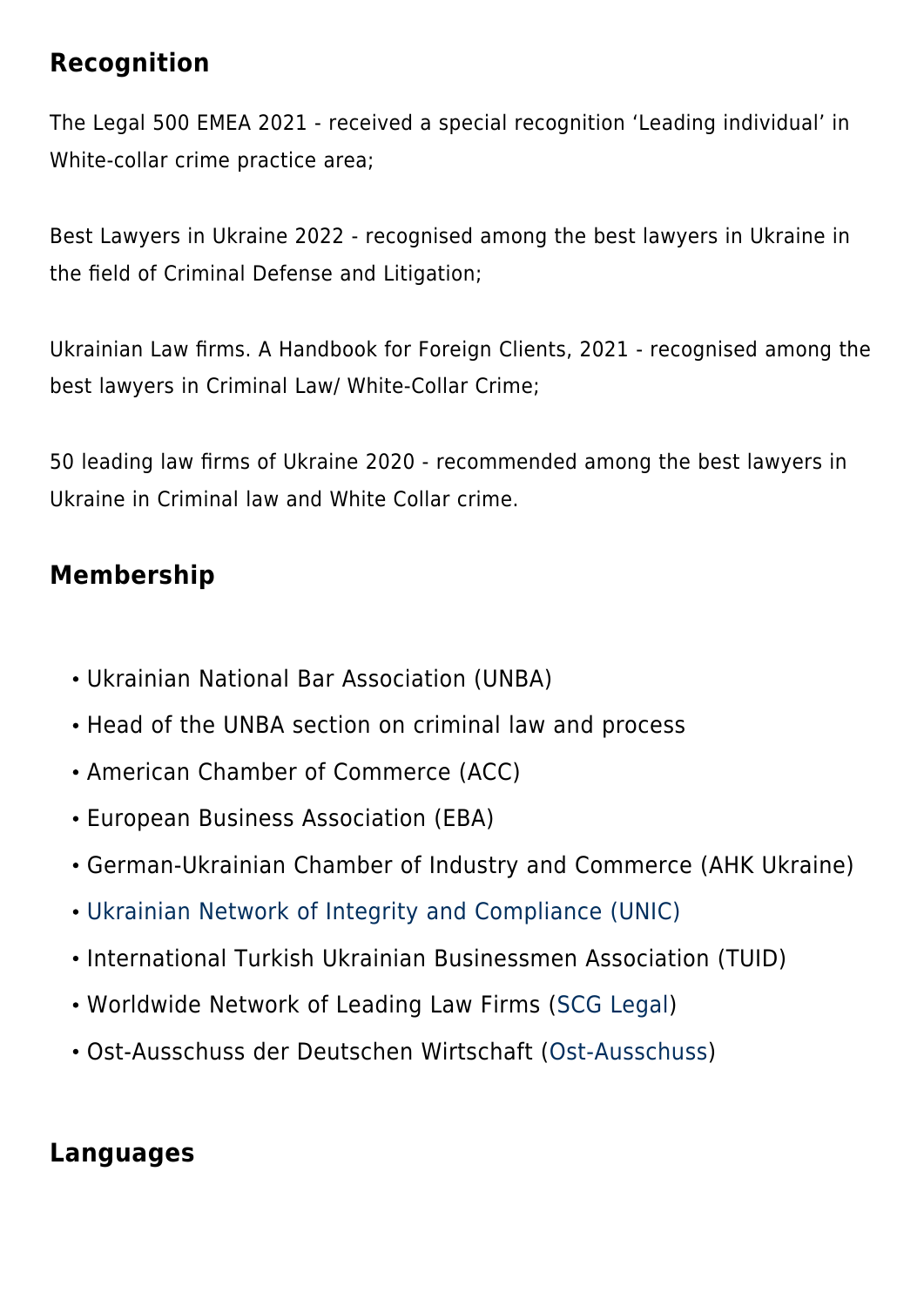#### **Recognition**

The Legal 500 EMEA 2021 - received a special recognition 'Leading individual' in White-collar crime practice area;

Best Lawyers in Ukraine 2022 - recognised among the best lawyers in Ukraine in the field of Criminal Defense and Litigation;

Ukrainian Law firms. A Handbook for Foreign Clients, 2021 - recognised among the best lawyers in Criminal Law/ White-Collar Crime;

50 leading law firms of Ukraine 2020 - recommended among the best lawyers in Ukraine in Criminal law and White Collar crime.

## **Membership**

- Ukrainian National Bar Association (UNBA)
- Head of the UNBA section on criminal law and process
- American Chamber of Commerce (АСС)
- European Business Association (ЕВА)
- German-Ukrainian Chamber of Industry and Commerce (AHK Ukraine)
- [Ukrainian Network of Integrity and Compliance \(UNIC\)](https://baselgovernance.org/b20-collective-action-hub/initiatives-database/ukrainian-network-integrity-and-compliance-unic)
- International Turkish Ukrainian Businessmen Association (TUID)
- Worldwide Network of Leading Law Firms ([SCG Legal](https://scglegal.com/about/))
- Ost-Ausschuss der Deutschen Wirtschaft ([Ost-Ausschuss](https://www.ost-ausschuss.de/uber-uns))

## **Languages**